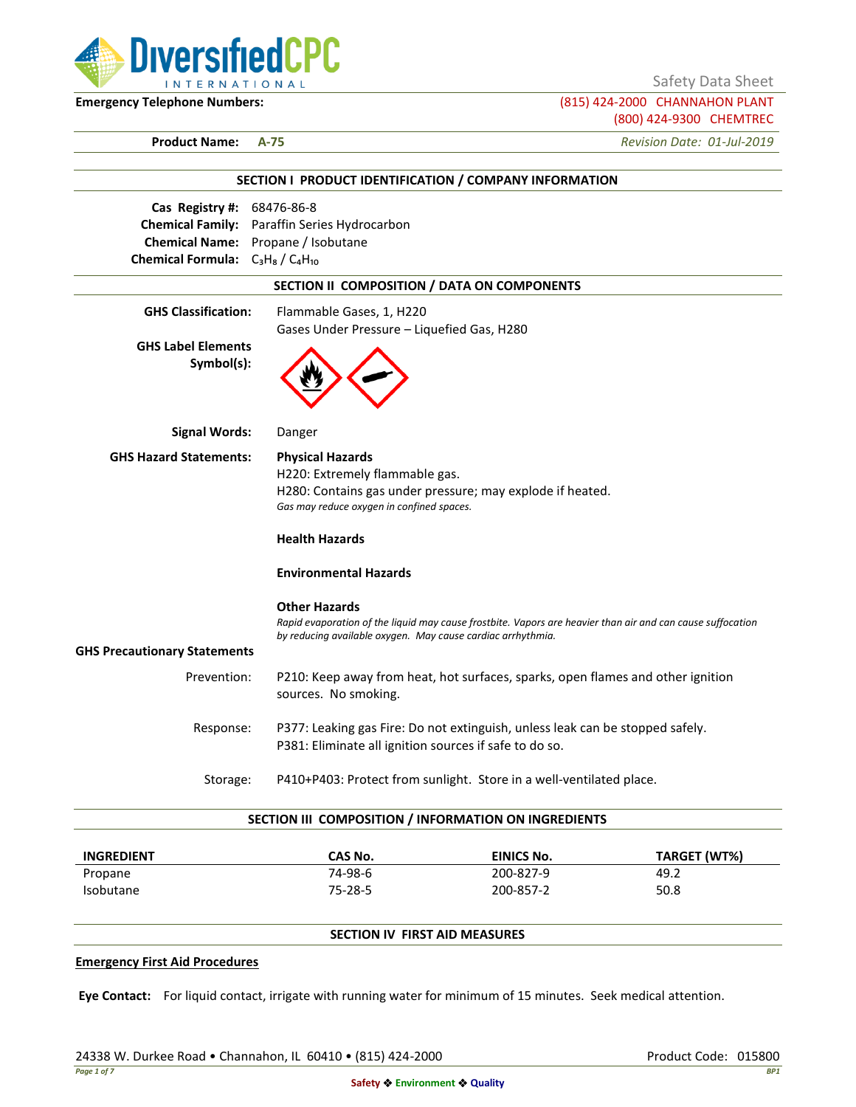

Safety Data Sheet

**Emergency Telephone Numbers:** (815) 424-2000 CHANNAHON PLANT (800) 424-9300 CHEMTREC

**Product Name: A-75** *Revision Date: 01-Jul-2019*

|                                              | SECTION I PRODUCT IDENTIFICATION / COMPANY INFORMATION                                                     |  |  |
|----------------------------------------------|------------------------------------------------------------------------------------------------------------|--|--|
| Cas Registry #: 68476-86-8                   |                                                                                                            |  |  |
| Chemical Family: Paraffin Series Hydrocarbon |                                                                                                            |  |  |
| Chemical Name: Propane / Isobutane           |                                                                                                            |  |  |
| <b>Chemical Formula:</b> $C_3H_8/C_4H_{10}$  |                                                                                                            |  |  |
|                                              | SECTION II COMPOSITION / DATA ON COMPONENTS                                                                |  |  |
| <b>GHS Classification:</b>                   | Flammable Gases, 1, H220                                                                                   |  |  |
|                                              | Gases Under Pressure - Liquefied Gas, H280                                                                 |  |  |
| <b>GHS Label Elements</b><br>Symbol(s):      |                                                                                                            |  |  |
| <b>Signal Words:</b>                         | Danger                                                                                                     |  |  |
| <b>GHS Hazard Statements:</b>                | <b>Physical Hazards</b>                                                                                    |  |  |
|                                              | H220: Extremely flammable gas.                                                                             |  |  |
|                                              | H280: Contains gas under pressure; may explode if heated.                                                  |  |  |
|                                              | Gas may reduce oxygen in confined spaces.                                                                  |  |  |
|                                              | <b>Health Hazards</b>                                                                                      |  |  |
|                                              | <b>Environmental Hazards</b>                                                                               |  |  |
|                                              | <b>Other Hazards</b>                                                                                       |  |  |
|                                              | Rapid evaporation of the liquid may cause frostbite. Vapors are heavier than air and can cause suffocation |  |  |
|                                              | by reducing available oxygen. May cause cardiac arrhythmia.                                                |  |  |
| <b>GHS Precautionary Statements</b>          |                                                                                                            |  |  |
| Prevention:                                  | P210: Keep away from heat, hot surfaces, sparks, open flames and other ignition<br>sources. No smoking.    |  |  |
| Response:                                    | P377: Leaking gas Fire: Do not extinguish, unless leak can be stopped safely.                              |  |  |
|                                              | P381: Eliminate all ignition sources if safe to do so.                                                     |  |  |
| Storage:                                     | P410+P403: Protect from sunlight. Store in a well-ventilated place.                                        |  |  |

| <b>INGREDIENT</b> | CAS No.       | EINICS No. | TARGET (WT%) |
|-------------------|---------------|------------|--------------|
| Propane           | 74-98-6       | 200-827-9  | 49.2         |
| <b>Isobutane</b>  | $75 - 28 - 5$ | 200-857-2  | 50.8         |

# **SECTION IV FIRST AID MEASURES**

### **Emergency First Aid Procedures**

**Eye Contact:** For liquid contact, irrigate with running water for minimum of 15 minutes. Seek medical attention.

24338 W. Durkee Road • Channahon, IL 60410 • (815) 424-2000 Product Code: 015800 Product Code: 015800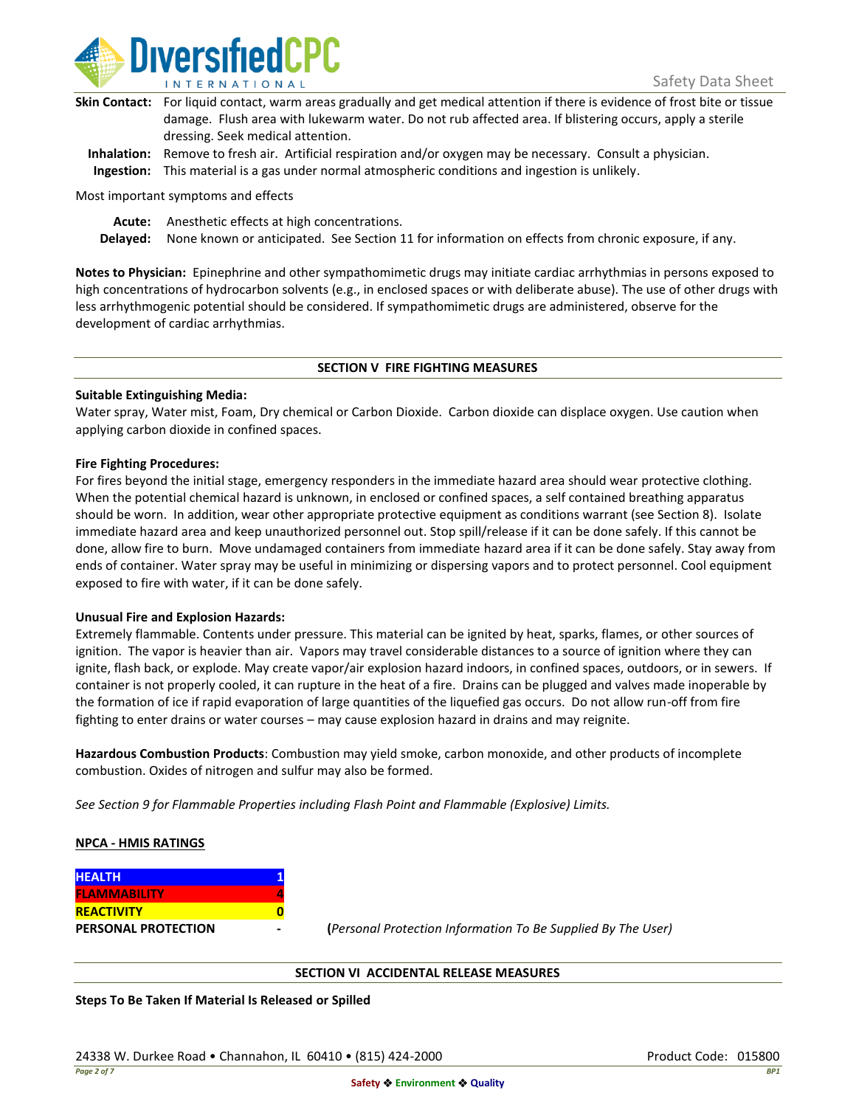

| Skin Contact: For liquid contact, warm areas gradually and get medical attention if there is evidence of frost bite or tissue |
|-------------------------------------------------------------------------------------------------------------------------------|
| damage. Flush area with lukewarm water. Do not rub affected area. If blistering occurs, apply a sterile                       |
| dressing. Seek medical attention.                                                                                             |
|                                                                                                                               |

**Inhalation:** Remove to fresh air. Artificial respiration and/or oxygen may be necessary. Consult a physician. **Ingestion:** This material is a gas under normal atmospheric conditions and ingestion is unlikely.

Most important symptoms and effects

**Acute:** Anesthetic effects at high concentrations.

**Delayed:** None known or anticipated. See Section 11 for information on effects from chronic exposure, if any.

**Notes to Physician:** Epinephrine and other sympathomimetic drugs may initiate cardiac arrhythmias in persons exposed to high concentrations of hydrocarbon solvents (e.g., in enclosed spaces or with deliberate abuse). The use of other drugs with less arrhythmogenic potential should be considered. If sympathomimetic drugs are administered, observe for the development of cardiac arrhythmias.

### **SECTION V FIRE FIGHTING MEASURES**

### **Suitable Extinguishing Media:**

Water spray, Water mist, Foam, Dry chemical or Carbon Dioxide. Carbon dioxide can displace oxygen. Use caution when applying carbon dioxide in confined spaces.

### **Fire Fighting Procedures:**

For fires beyond the initial stage, emergency responders in the immediate hazard area should wear protective clothing. When the potential chemical hazard is unknown, in enclosed or confined spaces, a self contained breathing apparatus should be worn. In addition, wear other appropriate protective equipment as conditions warrant (see Section 8). Isolate immediate hazard area and keep unauthorized personnel out. Stop spill/release if it can be done safely. If this cannot be done, allow fire to burn. Move undamaged containers from immediate hazard area if it can be done safely. Stay away from ends of container. Water spray may be useful in minimizing or dispersing vapors and to protect personnel. Cool equipment exposed to fire with water, if it can be done safely.

### **Unusual Fire and Explosion Hazards:**

Extremely flammable. Contents under pressure. This material can be ignited by heat, sparks, flames, or other sources of ignition. The vapor is heavier than air. Vapors may travel considerable distances to a source of ignition where they can ignite, flash back, or explode. May create vapor/air explosion hazard indoors, in confined spaces, outdoors, or in sewers. If container is not properly cooled, it can rupture in the heat of a fire. Drains can be plugged and valves made inoperable by the formation of ice if rapid evaporation of large quantities of the liquefied gas occurs. Do not allow run-off from fire fighting to enter drains or water courses – may cause explosion hazard in drains and may reignite.

**Hazardous Combustion Products**: Combustion may yield smoke, carbon monoxide, and other products of incomplete combustion. Oxides of nitrogen and sulfur may also be formed.

*See Section 9 for Flammable Properties including Flash Point and Flammable (Explosive) Limits.*

### **NPCA - HMIS RATINGS**

| <b>HEALTH</b>              |  |
|----------------------------|--|
| <b>FLAMMABILITY</b>        |  |
| <b>REACTIVITY</b>          |  |
| <b>PERSONAL PROTECTION</b> |  |

**PERSONAL PROTECTION - (***Personal Protection Information To Be Supplied By The User)*

### **SECTION VI ACCIDENTAL RELEASE MEASURES**

**Steps To Be Taken If Material Is Released or Spilled**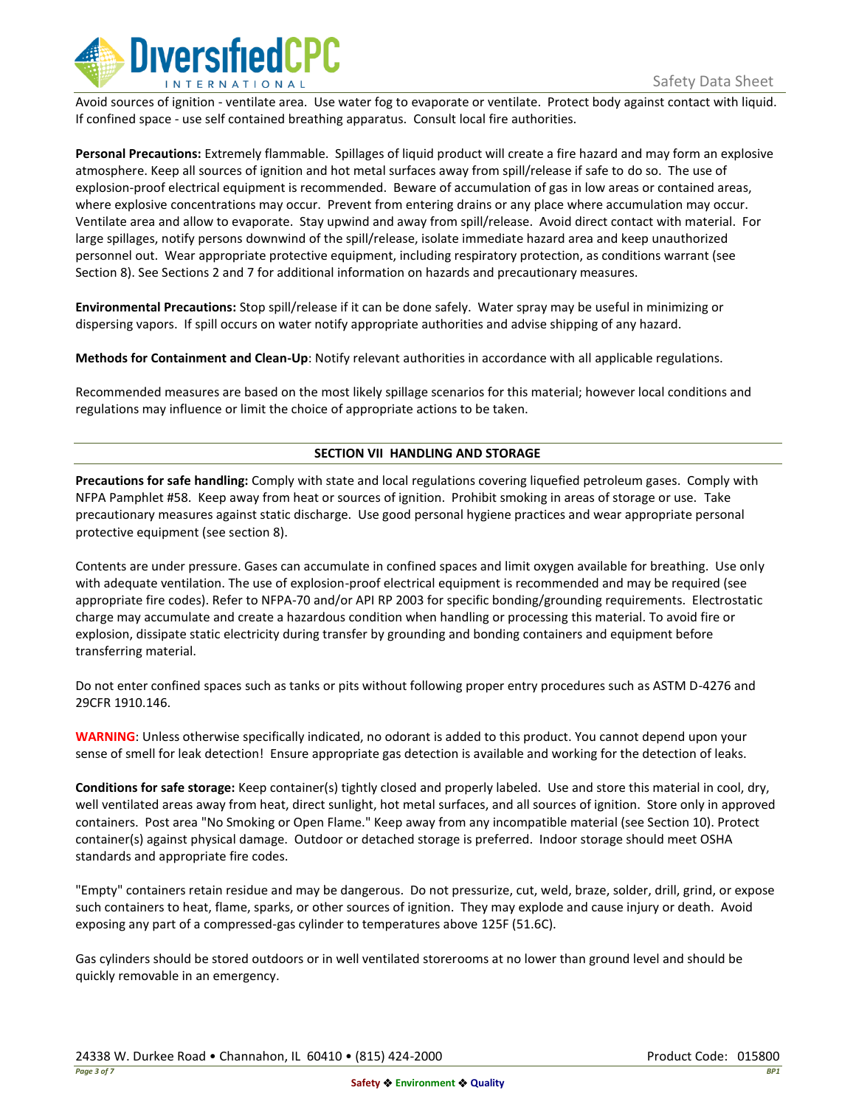

Avoid sources of ignition - ventilate area. Use water fog to evaporate or ventilate. Protect body against contact with liquid. If confined space - use self contained breathing apparatus. Consult local fire authorities.

**Personal Precautions:** Extremely flammable. Spillages of liquid product will create a fire hazard and may form an explosive atmosphere. Keep all sources of ignition and hot metal surfaces away from spill/release if safe to do so. The use of explosion-proof electrical equipment is recommended. Beware of accumulation of gas in low areas or contained areas, where explosive concentrations may occur. Prevent from entering drains or any place where accumulation may occur. Ventilate area and allow to evaporate. Stay upwind and away from spill/release. Avoid direct contact with material. For large spillages, notify persons downwind of the spill/release, isolate immediate hazard area and keep unauthorized personnel out. Wear appropriate protective equipment, including respiratory protection, as conditions warrant (see Section 8). See Sections 2 and 7 for additional information on hazards and precautionary measures.

**Environmental Precautions:** Stop spill/release if it can be done safely. Water spray may be useful in minimizing or dispersing vapors. If spill occurs on water notify appropriate authorities and advise shipping of any hazard.

**Methods for Containment and Clean-Up**: Notify relevant authorities in accordance with all applicable regulations.

Recommended measures are based on the most likely spillage scenarios for this material; however local conditions and regulations may influence or limit the choice of appropriate actions to be taken.

## **SECTION VII HANDLING AND STORAGE**

**Precautions for safe handling:** Comply with state and local regulations covering liquefied petroleum gases. Comply with NFPA Pamphlet #58. Keep away from heat or sources of ignition. Prohibit smoking in areas of storage or use. Take precautionary measures against static discharge. Use good personal hygiene practices and wear appropriate personal protective equipment (see section 8).

Contents are under pressure. Gases can accumulate in confined spaces and limit oxygen available for breathing. Use only with adequate ventilation. The use of explosion-proof electrical equipment is recommended and may be required (see appropriate fire codes). Refer to NFPA-70 and/or API RP 2003 for specific bonding/grounding requirements. Electrostatic charge may accumulate and create a hazardous condition when handling or processing this material. To avoid fire or explosion, dissipate static electricity during transfer by grounding and bonding containers and equipment before transferring material.

Do not enter confined spaces such as tanks or pits without following proper entry procedures such as ASTM D-4276 and 29CFR 1910.146.

**WARNING**: Unless otherwise specifically indicated, no odorant is added to this product. You cannot depend upon your sense of smell for leak detection! Ensure appropriate gas detection is available and working for the detection of leaks.

**Conditions for safe storage:** Keep container(s) tightly closed and properly labeled. Use and store this material in cool, dry, well ventilated areas away from heat, direct sunlight, hot metal surfaces, and all sources of ignition. Store only in approved containers. Post area "No Smoking or Open Flame." Keep away from any incompatible material (see Section 10). Protect container(s) against physical damage. Outdoor or detached storage is preferred. Indoor storage should meet OSHA standards and appropriate fire codes.

"Empty" containers retain residue and may be dangerous. Do not pressurize, cut, weld, braze, solder, drill, grind, or expose such containers to heat, flame, sparks, or other sources of ignition. They may explode and cause injury or death. Avoid exposing any part of a compressed-gas cylinder to temperatures above 125F (51.6C).

Gas cylinders should be stored outdoors or in well ventilated storerooms at no lower than ground level and should be quickly removable in an emergency.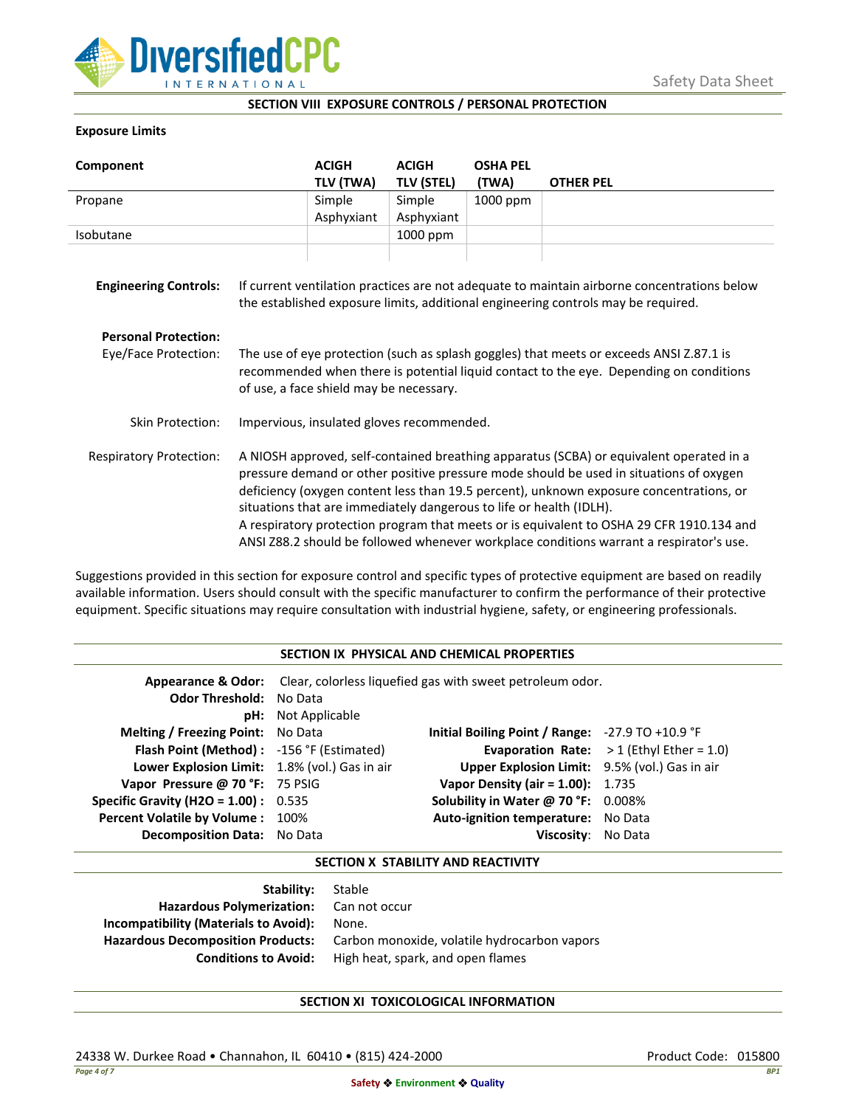

## **SECTION VIII EXPOSURE CONTROLS / PERSONAL PROTECTION**

## **Exposure Limits**

| Component                      |                                                                                                                                                                                                                                                                                                                                                                                                                                                                                                                                            | <b>ACIGH</b><br>TLV (TWA) | <b>ACIGH</b><br><b>TLV (STEL)</b> | <b>OSHA PEL</b><br>(TWA) | <b>OTHER PEL</b> |
|--------------------------------|--------------------------------------------------------------------------------------------------------------------------------------------------------------------------------------------------------------------------------------------------------------------------------------------------------------------------------------------------------------------------------------------------------------------------------------------------------------------------------------------------------------------------------------------|---------------------------|-----------------------------------|--------------------------|------------------|
| Propane                        |                                                                                                                                                                                                                                                                                                                                                                                                                                                                                                                                            | Simple                    | Simple                            | 1000 ppm                 |                  |
|                                |                                                                                                                                                                                                                                                                                                                                                                                                                                                                                                                                            | Asphyxiant                | Asphyxiant                        |                          |                  |
| Isobutane                      |                                                                                                                                                                                                                                                                                                                                                                                                                                                                                                                                            |                           | 1000 ppm                          |                          |                  |
| <b>Engineering Controls:</b>   | If current ventilation practices are not adequate to maintain airborne concentrations below<br>the established exposure limits, additional engineering controls may be required.                                                                                                                                                                                                                                                                                                                                                           |                           |                                   |                          |                  |
| <b>Personal Protection:</b>    |                                                                                                                                                                                                                                                                                                                                                                                                                                                                                                                                            |                           |                                   |                          |                  |
| Eye/Face Protection:           | The use of eye protection (such as splash goggles) that meets or exceeds ANSI Z.87.1 is<br>recommended when there is potential liquid contact to the eye. Depending on conditions<br>of use, a face shield may be necessary.                                                                                                                                                                                                                                                                                                               |                           |                                   |                          |                  |
| Skin Protection:               | Impervious, insulated gloves recommended.                                                                                                                                                                                                                                                                                                                                                                                                                                                                                                  |                           |                                   |                          |                  |
| <b>Respiratory Protection:</b> | A NIOSH approved, self-contained breathing apparatus (SCBA) or equivalent operated in a<br>pressure demand or other positive pressure mode should be used in situations of oxygen<br>deficiency (oxygen content less than 19.5 percent), unknown exposure concentrations, or<br>situations that are immediately dangerous to life or health (IDLH).<br>A respiratory protection program that meets or is equivalent to OSHA 29 CFR 1910.134 and<br>ANSI Z88.2 should be followed whenever workplace conditions warrant a respirator's use. |                           |                                   |                          |                  |

Suggestions provided in this section for exposure control and specific types of protective equipment are based on readily available information. Users should consult with the specific manufacturer to confirm the performance of their protective equipment. Specific situations may require consultation with industrial hygiene, safety, or engineering professionals.

## **SECTION IX PHYSICAL AND CHEMICAL PROPERTIES**

| <b>Odor Threshold: No Data</b>                | <b>pH:</b> Not Applicable | <b>Appearance &amp; Odor:</b> Clear, colorless liquefied gas with sweet petroleum odor. |                                                   |
|-----------------------------------------------|---------------------------|-----------------------------------------------------------------------------------------|---------------------------------------------------|
| <b>Melting / Freezing Point:</b> No Data      |                           | Initial Boiling Point / Range: -27.9 TO +10.9 °F                                        |                                                   |
| Flash Point (Method): -156 °F (Estimated)     |                           |                                                                                         | <b>Evaporation Rate:</b> $>1$ (Ethyl Ether = 1.0) |
| Lower Explosion Limit: 1.8% (vol.) Gas in air |                           | Upper Explosion Limit: 9.5% (vol.) Gas in air                                           |                                                   |
| Vapor Pressure @ 70 °F: 75 PSIG               |                           | <b>Vapor Density (air = 1.00):</b> 1.735                                                |                                                   |
| <b>Specific Gravity (H2O = 1.00):</b> $0.535$ |                           | Solubility in Water @ 70 °F: 0.008%                                                     |                                                   |
| Percent Volatile by Volume: 100%              |                           | Auto-ignition temperature: No Data                                                      |                                                   |
| <b>Decomposition Data:</b> No Data            |                           | Viscosity: No Data                                                                      |                                                   |

### **SECTION X STABILITY AND REACTIVITY**

| <b>Stability:</b> Stable                     |
|----------------------------------------------|
| Hazardous Polymerization: Can not occur      |
| None.                                        |
| Carbon monoxide, volatile hydrocarbon vapors |
| High heat, spark, and open flames            |
|                                              |

# **SECTION XI TOXICOLOGICAL INFORMATION**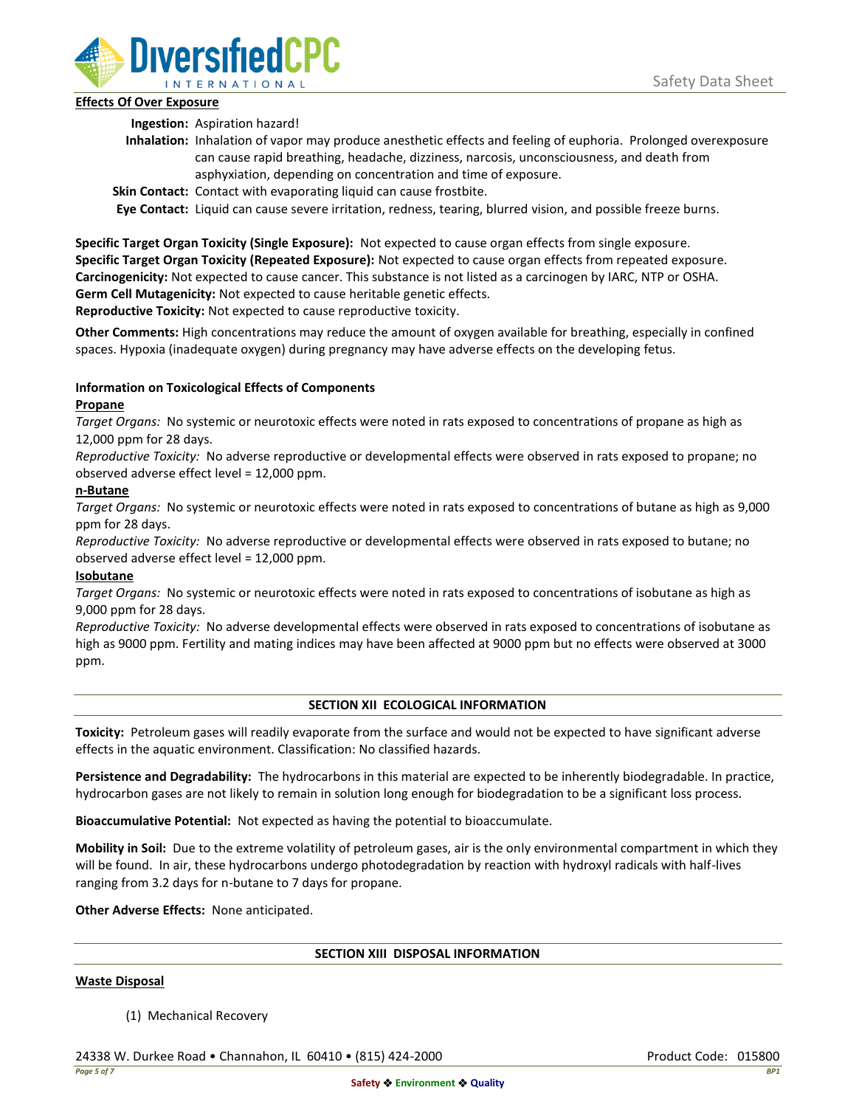

## **Effects Of Over Exposure**

**Ingestion:** Aspiration hazard!

- **Inhalation:** Inhalation of vapor may produce anesthetic effects and feeling of euphoria. Prolonged overexposure can cause rapid breathing, headache, dizziness, narcosis, unconsciousness, and death from asphyxiation, depending on concentration and time of exposure.
- **Skin Contact:** Contact with evaporating liquid can cause frostbite.

**Eye Contact:** Liquid can cause severe irritation, redness, tearing, blurred vision, and possible freeze burns.

**Specific Target Organ Toxicity (Single Exposure):** Not expected to cause organ effects from single exposure. **Specific Target Organ Toxicity (Repeated Exposure):** Not expected to cause organ effects from repeated exposure. **Carcinogenicity:** Not expected to cause cancer. This substance is not listed as a carcinogen by IARC, NTP or OSHA. **Germ Cell Mutagenicity:** Not expected to cause heritable genetic effects.

**Reproductive Toxicity:** Not expected to cause reproductive toxicity.

**Other Comments:** High concentrations may reduce the amount of oxygen available for breathing, especially in confined spaces. Hypoxia (inadequate oxygen) during pregnancy may have adverse effects on the developing fetus.

# **Information on Toxicological Effects of Components**

## **Propane**

*Target Organs:* No systemic or neurotoxic effects were noted in rats exposed to concentrations of propane as high as 12,000 ppm for 28 days.

*Reproductive Toxicity:* No adverse reproductive or developmental effects were observed in rats exposed to propane; no observed adverse effect level = 12,000 ppm.

## **n-Butane**

*Target Organs:* No systemic or neurotoxic effects were noted in rats exposed to concentrations of butane as high as 9,000 ppm for 28 days.

*Reproductive Toxicity:* No adverse reproductive or developmental effects were observed in rats exposed to butane; no observed adverse effect level = 12,000 ppm.

# **Isobutane**

*Target Organs:* No systemic or neurotoxic effects were noted in rats exposed to concentrations of isobutane as high as 9,000 ppm for 28 days.

*Reproductive Toxicity:* No adverse developmental effects were observed in rats exposed to concentrations of isobutane as high as 9000 ppm. Fertility and mating indices may have been affected at 9000 ppm but no effects were observed at 3000 ppm.

# **SECTION XII ECOLOGICAL INFORMATION**

**Toxicity:** Petroleum gases will readily evaporate from the surface and would not be expected to have significant adverse effects in the aquatic environment. Classification: No classified hazards.

**Persistence and Degradability:** The hydrocarbons in this material are expected to be inherently biodegradable. In practice, hydrocarbon gases are not likely to remain in solution long enough for biodegradation to be a significant loss process.

**Bioaccumulative Potential:** Not expected as having the potential to bioaccumulate.

**Mobility in Soil:** Due to the extreme volatility of petroleum gases, air is the only environmental compartment in which they will be found. In air, these hydrocarbons undergo photodegradation by reaction with hydroxyl radicals with half-lives ranging from 3.2 days for n-butane to 7 days for propane.

**Other Adverse Effects:** None anticipated.

### **SECTION XIII DISPOSAL INFORMATION**

### **Waste Disposal**

(1) Mechanical Recovery

24338 W. Durkee Road • Channahon, IL 60410 • (815) 424-2000 Product Code: 015800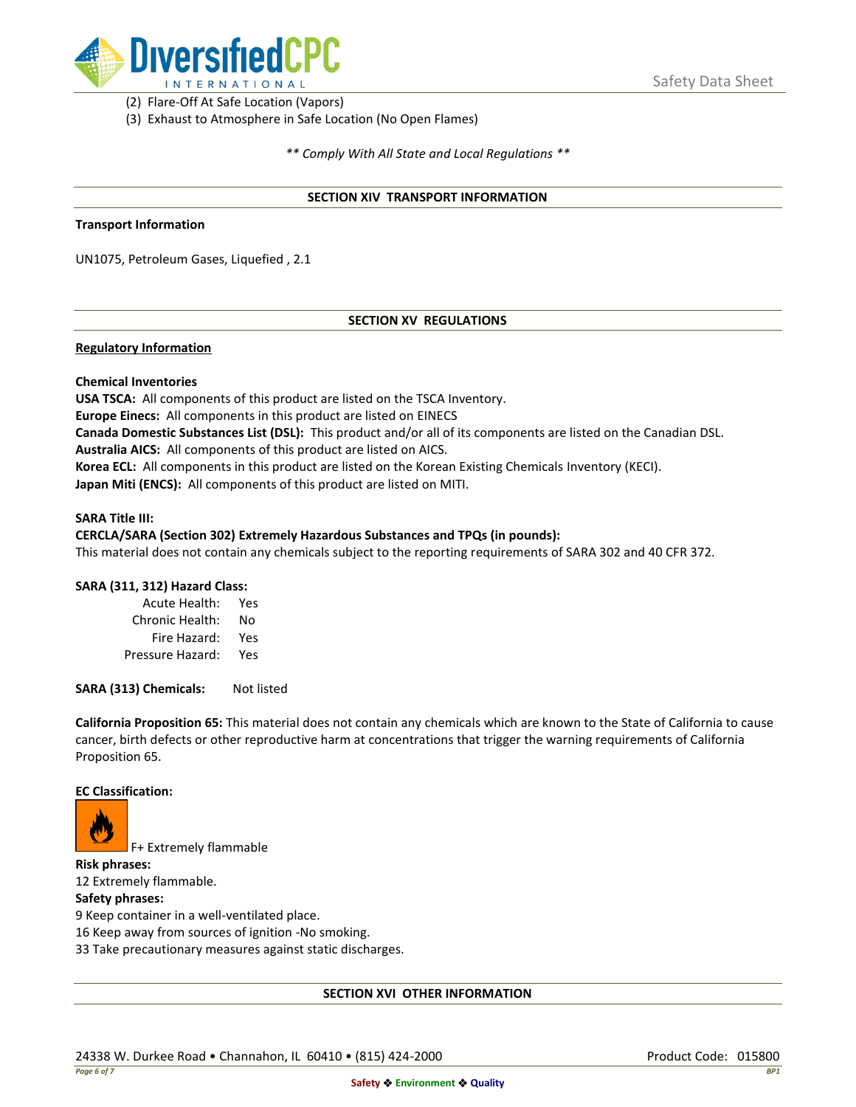

(2) Flare-Off At Safe Location (Vapors)

(3) Exhaust to Atmosphere in Safe Location (No Open Flames)

*\*\* Comply With All State and Local Regulations \*\**

### **SECTION XIV TRANSPORT INFORMATION**

#### **Transport Information**

UN1075, Petroleum Gases, Liquefied , 2.1

### **SECTION XV REGULATIONS**

### **Regulatory Information**

### **Chemical Inventories**

**USA TSCA:** All components of this product are listed on the TSCA Inventory. **Europe Einecs:** All components in this product are listed on EINECS **Canada Domestic Substances List (DSL):** This product and/or all of its components are listed on the Canadian DSL. **Australia AICS:** All components of this product are listed on AICS. **Korea ECL:** All components in this product are listed on the Korean Existing Chemicals Inventory (KECI). **Japan Miti (ENCS):** All components of this product are listed on MITI.

#### **SARA Title III:**

#### **CERCLA/SARA (Section 302) Extremely Hazardous Substances and TPQs (in pounds):**

This material does not contain any chemicals subject to the reporting requirements of SARA 302 and 40 CFR 372.

### **SARA (311, 312) Hazard Class:**

| Acute Health:    | Yes |
|------------------|-----|
| Chronic Health:  | No  |
| Fire Hazard:     | Yes |
| Pressure Hazard: | Yes |

**SARA (313) Chemicals:** Not listed

**California Proposition 65:** This material does not contain any chemicals which are known to the State of California to cause cancer, birth defects or other reproductive harm at concentrations that trigger the warning requirements of California Proposition 65.

### **EC Classification:**



F+ Extremely flammable

**Risk phrases:** 12 Extremely flammable.

## **Safety phrases:**

9 Keep container in a well-ventilated place.

16 Keep away from sources of ignition -No smoking.

33 Take precautionary measures against static discharges.

### **SECTION XVI OTHER INFORMATION**